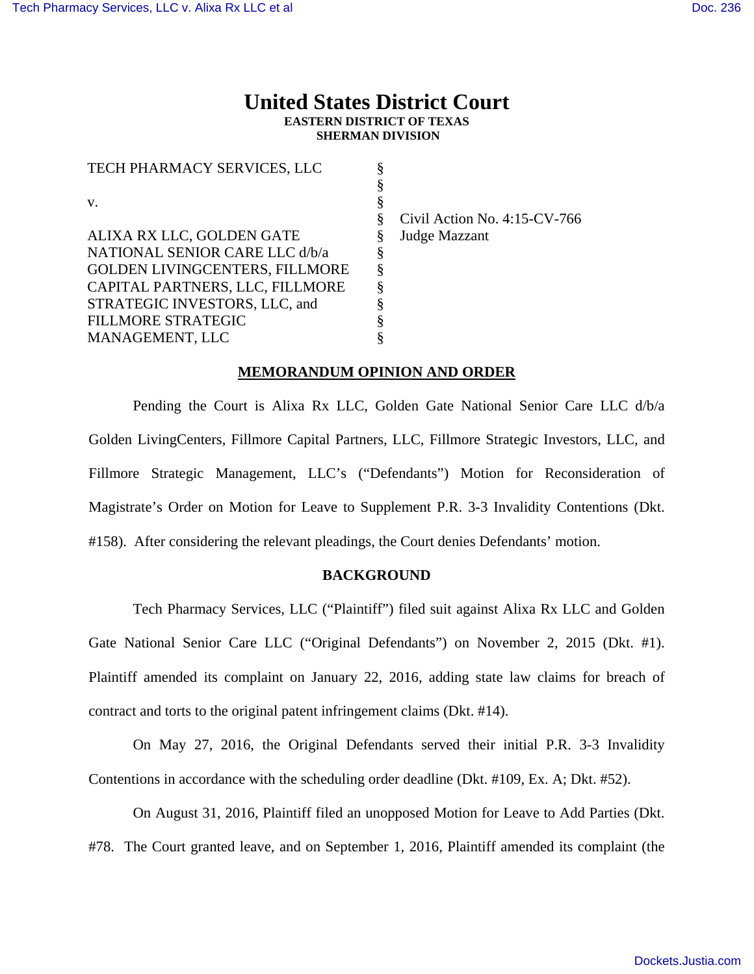# **United States District Court EASTERN DISTRICT OF TEXAS SHERMAN DIVISION**

| O |                                 |
|---|---------------------------------|
|   | Civil Action No. $4:15$ -CV-766 |
|   | Judge Mazzant                   |
|   |                                 |
| § |                                 |
|   |                                 |
|   |                                 |
|   |                                 |
|   |                                 |
|   |                                 |

### **MEMORANDUM OPINION AND ORDER**

Pending the Court is Alixa Rx LLC, Golden Gate National Senior Care LLC d/b/a Golden LivingCenters, Fillmore Capital Partners, LLC, Fillmore Strategic Investors, LLC, and Fillmore Strategic Management, LLC's ("Defendants") Motion for Reconsideration of Magistrate's Order on Motion for Leave to Supplement P.R. 3-3 Invalidity Contentions (Dkt. #158). After considering the relevant pleadings, the Court denies Defendants' motion.

### **BACKGROUND**

Tech Pharmacy Services, LLC ("Plaintiff") filed suit against Alixa Rx LLC and Golden Gate National Senior Care LLC ("Original Defendants") on November 2, 2015 (Dkt. #1). Plaintiff amended its complaint on January 22, 2016, adding state law claims for breach of contract and torts to the original patent infringement claims (Dkt. #14).

On May 27, 2016, the Original Defendants served their initial P.R. 3-3 Invalidity Contentions in accordance with the scheduling order deadline (Dkt. #109, Ex. A; Dkt. #52).

On August 31, 2016, Plaintiff filed an unopposed Motion for Leave to Add Parties (Dkt. #78. The Court granted leave, and on September 1, 2016, Plaintiff amended its complaint (the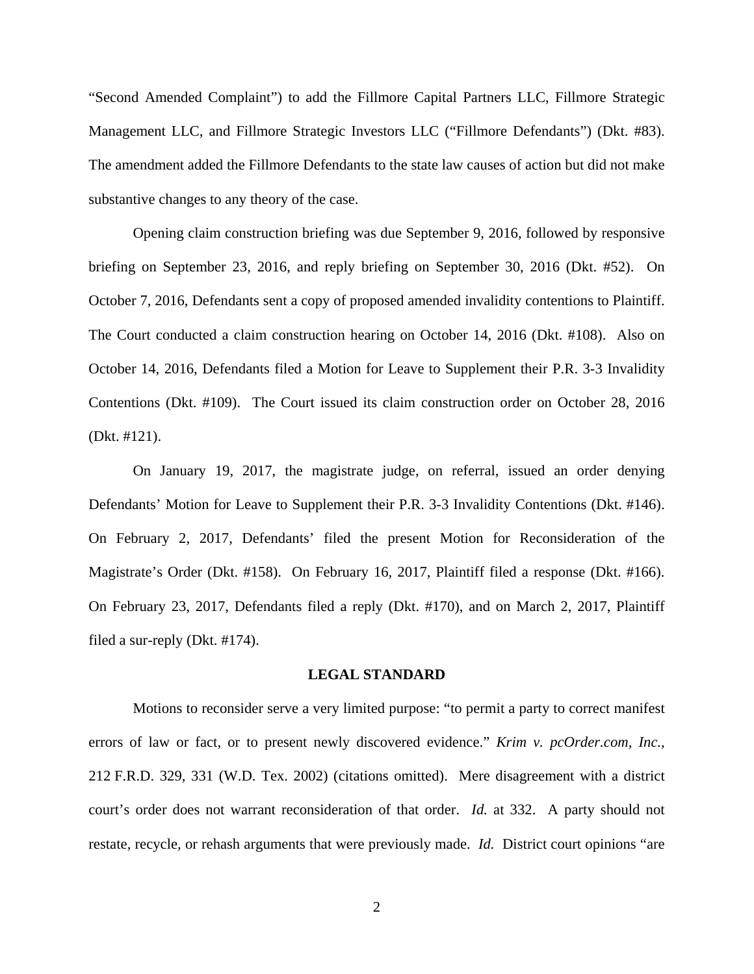"Second Amended Complaint") to add the Fillmore Capital Partners LLC, Fillmore Strategic Management LLC, and Fillmore Strategic Investors LLC ("Fillmore Defendants") (Dkt. #83). The amendment added the Fillmore Defendants to the state law causes of action but did not make substantive changes to any theory of the case.

Opening claim construction briefing was due September 9, 2016, followed by responsive briefing on September 23, 2016, and reply briefing on September 30, 2016 (Dkt. #52). On October 7, 2016, Defendants sent a copy of proposed amended invalidity contentions to Plaintiff. The Court conducted a claim construction hearing on October 14, 2016 (Dkt. #108). Also on October 14, 2016, Defendants filed a Motion for Leave to Supplement their P.R. 3-3 Invalidity Contentions (Dkt. #109). The Court issued its claim construction order on October 28, 2016 (Dkt. #121).

 On January 19, 2017, the magistrate judge, on referral, issued an order denying Defendants' Motion for Leave to Supplement their P.R. 3-3 Invalidity Contentions (Dkt. #146). On February 2, 2017, Defendants' filed the present Motion for Reconsideration of the Magistrate's Order (Dkt. #158). On February 16, 2017, Plaintiff filed a response (Dkt. #166). On February 23, 2017, Defendants filed a reply (Dkt. #170), and on March 2, 2017, Plaintiff filed a sur-reply (Dkt. #174).

#### **LEGAL STANDARD**

Motions to reconsider serve a very limited purpose: "to permit a party to correct manifest errors of law or fact, or to present newly discovered evidence." *Krim v. pcOrder.com, Inc.*, 212 F.R.D. 329, 331 (W.D. Tex. 2002) (citations omitted). Mere disagreement with a district court's order does not warrant reconsideration of that order. *Id.* at 332. A party should not restate, recycle, or rehash arguments that were previously made. *Id.* District court opinions "are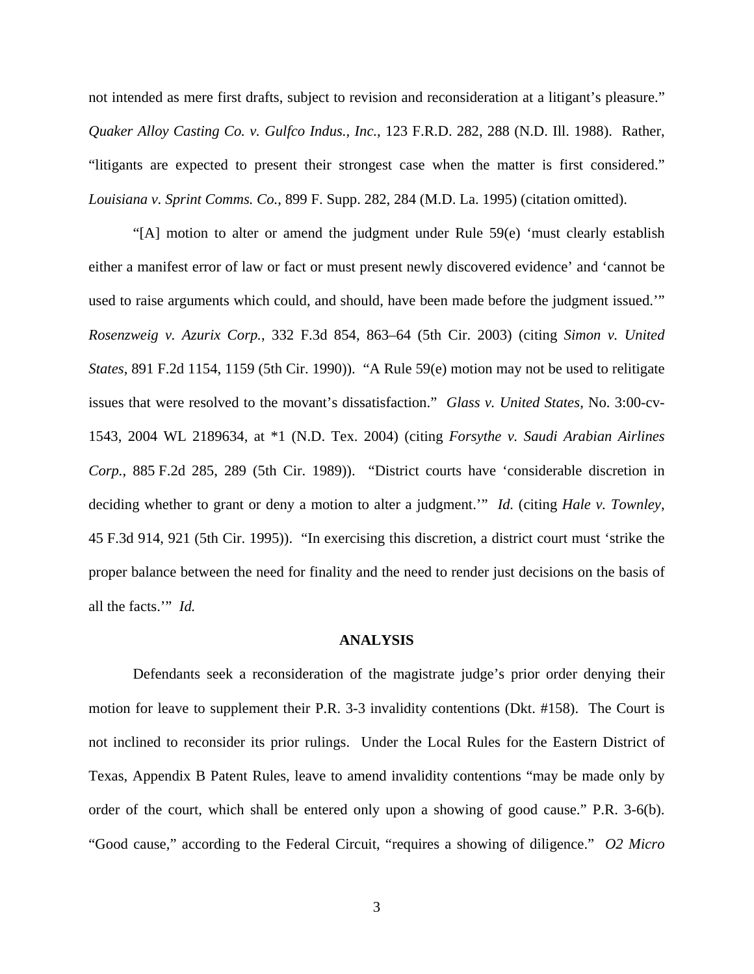not intended as mere first drafts, subject to revision and reconsideration at a litigant's pleasure." *Quaker Alloy Casting Co. v. Gulfco Indus., Inc.*, 123 F.R.D. 282, 288 (N.D. Ill. 1988). Rather, "litigants are expected to present their strongest case when the matter is first considered." *Louisiana v. Sprint Comms. Co.*, 899 F. Supp. 282, 284 (M.D. La. 1995) (citation omitted).

"[A] motion to alter or amend the judgment under Rule 59(e) 'must clearly establish either a manifest error of law or fact or must present newly discovered evidence' and 'cannot be used to raise arguments which could, and should, have been made before the judgment issued.'" *Rosenzweig v. Azurix Corp.*, 332 F.3d 854, 863–64 (5th Cir. 2003) (citing *Simon v. United States*, 891 F.2d 1154, 1159 (5th Cir. 1990)). "A Rule 59(e) motion may not be used to relitigate issues that were resolved to the movant's dissatisfaction." *Glass v. United States*, No. 3:00-cv-1543, 2004 WL 2189634, at \*1 (N.D. Tex. 2004) (citing *Forsythe v. Saudi Arabian Airlines Corp.*, 885 F.2d 285, 289 (5th Cir. 1989)). "District courts have 'considerable discretion in deciding whether to grant or deny a motion to alter a judgment.'" *Id.* (citing *Hale v. Townley*, 45 F.3d 914, 921 (5th Cir. 1995)). "In exercising this discretion, a district court must 'strike the proper balance between the need for finality and the need to render just decisions on the basis of all the facts.'" *Id.*

### **ANALYSIS**

 Defendants seek a reconsideration of the magistrate judge's prior order denying their motion for leave to supplement their P.R. 3-3 invalidity contentions (Dkt. #158). The Court is not inclined to reconsider its prior rulings. Under the Local Rules for the Eastern District of Texas, Appendix B Patent Rules, leave to amend invalidity contentions "may be made only by order of the court, which shall be entered only upon a showing of good cause." P.R. 3-6(b). "Good cause," according to the Federal Circuit, "requires a showing of diligence." *O2 Micro*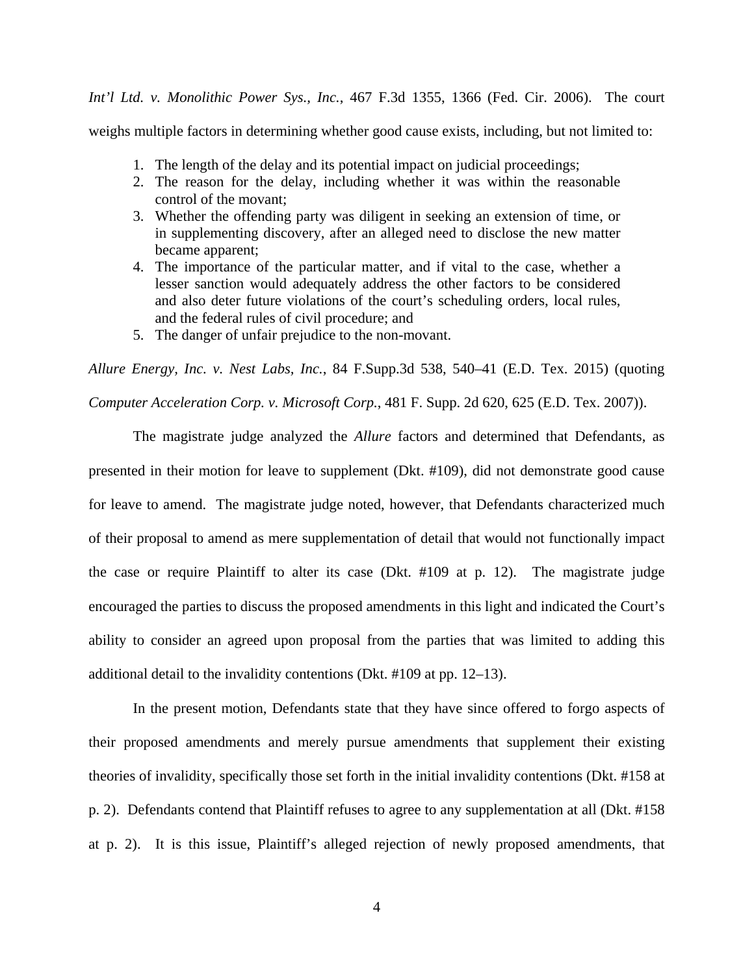*Int'l Ltd. v. Monolithic Power Sys., Inc.*, 467 F.3d 1355, 1366 (Fed. Cir. 2006). The court

weighs multiple factors in determining whether good cause exists, including, but not limited to:

- 1. The length of the delay and its potential impact on judicial proceedings;
- 2. The reason for the delay, including whether it was within the reasonable control of the movant;
- 3. Whether the offending party was diligent in seeking an extension of time, or in supplementing discovery, after an alleged need to disclose the new matter became apparent;
- 4. The importance of the particular matter, and if vital to the case, whether a lesser sanction would adequately address the other factors to be considered and also deter future violations of the court's scheduling orders, local rules, and the federal rules of civil procedure; and
- 5. The danger of unfair prejudice to the non-movant.

*Allure Energy, Inc. v. Nest Labs, Inc.*, 84 F.Supp.3d 538, 540–41 (E.D. Tex. 2015) (quoting *Computer Acceleration Corp. v. Microsoft Corp.*, 481 F. Supp. 2d 620, 625 (E.D. Tex. 2007)).

 The magistrate judge analyzed the *Allure* factors and determined that Defendants, as presented in their motion for leave to supplement (Dkt. #109), did not demonstrate good cause for leave to amend. The magistrate judge noted, however, that Defendants characterized much of their proposal to amend as mere supplementation of detail that would not functionally impact the case or require Plaintiff to alter its case (Dkt. #109 at p. 12). The magistrate judge encouraged the parties to discuss the proposed amendments in this light and indicated the Court's ability to consider an agreed upon proposal from the parties that was limited to adding this additional detail to the invalidity contentions (Dkt. #109 at pp. 12–13).

In the present motion, Defendants state that they have since offered to forgo aspects of their proposed amendments and merely pursue amendments that supplement their existing theories of invalidity, specifically those set forth in the initial invalidity contentions (Dkt. #158 at p. 2). Defendants contend that Plaintiff refuses to agree to any supplementation at all (Dkt. #158 at p. 2). It is this issue, Plaintiff's alleged rejection of newly proposed amendments, that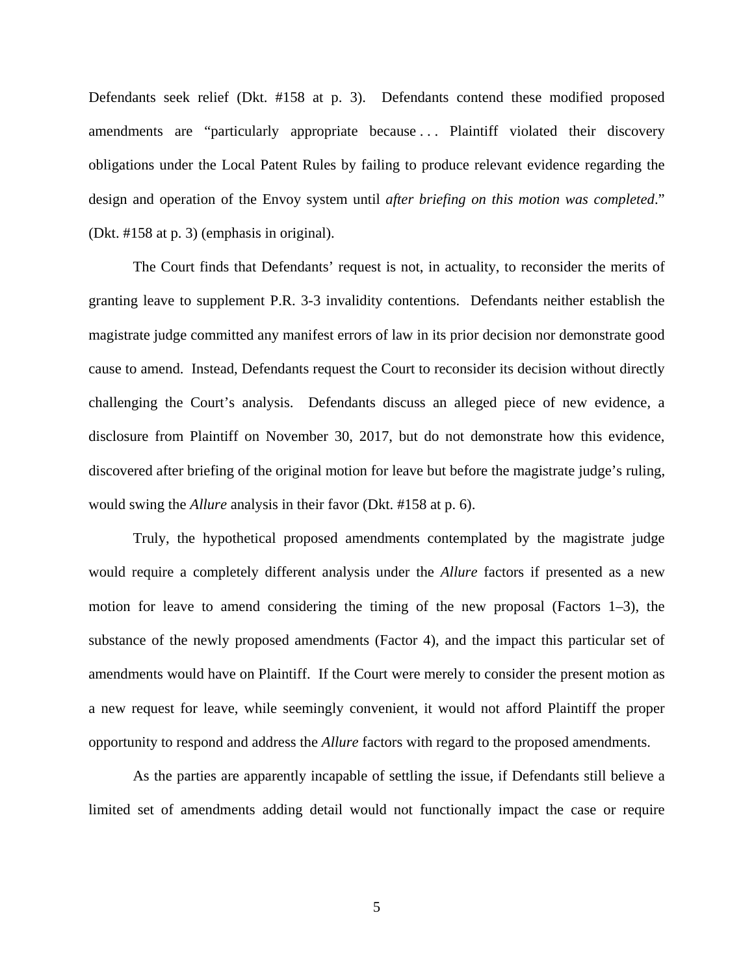Defendants seek relief (Dkt. #158 at p. 3). Defendants contend these modified proposed amendments are "particularly appropriate because . . . Plaintiff violated their discovery obligations under the Local Patent Rules by failing to produce relevant evidence regarding the design and operation of the Envoy system until *after briefing on this motion was completed*." (Dkt. #158 at p. 3) (emphasis in original).

The Court finds that Defendants' request is not, in actuality, to reconsider the merits of granting leave to supplement P.R. 3-3 invalidity contentions. Defendants neither establish the magistrate judge committed any manifest errors of law in its prior decision nor demonstrate good cause to amend. Instead, Defendants request the Court to reconsider its decision without directly challenging the Court's analysis. Defendants discuss an alleged piece of new evidence, a disclosure from Plaintiff on November 30, 2017, but do not demonstrate how this evidence, discovered after briefing of the original motion for leave but before the magistrate judge's ruling, would swing the *Allure* analysis in their favor (Dkt. #158 at p. 6).

Truly, the hypothetical proposed amendments contemplated by the magistrate judge would require a completely different analysis under the *Allure* factors if presented as a new motion for leave to amend considering the timing of the new proposal (Factors  $1-3$ ), the substance of the newly proposed amendments (Factor 4), and the impact this particular set of amendments would have on Plaintiff. If the Court were merely to consider the present motion as a new request for leave, while seemingly convenient, it would not afford Plaintiff the proper opportunity to respond and address the *Allure* factors with regard to the proposed amendments.

As the parties are apparently incapable of settling the issue, if Defendants still believe a limited set of amendments adding detail would not functionally impact the case or require